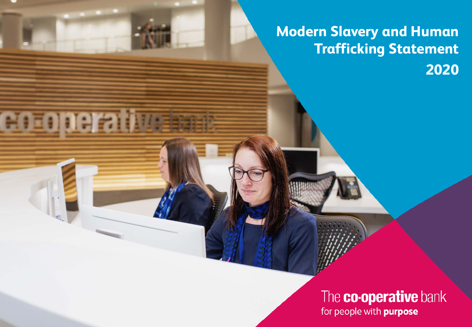**Modern Slavery and Human Trafficking Statement 2020**

MITI

r

# The **co-operative** bank for people with **purpose**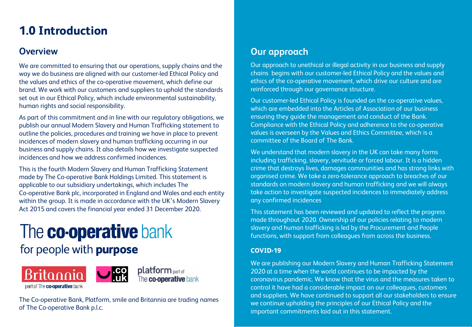# **1.0 Introduction**

### **Overview**

We are committed to ensuring that our operations, supply chains and the way we do business are aligned with our customer-led Ethical Policy and the values and ethics of the co-operative movement, which define our brand. We work with our customers and suppliers to uphold the standards set out in our Ethical Policy, which include environmental sustainability, human rights and social responsibility.

As part of this commitment and in line with our regulatory obligations, we publish our annual Modern Slavery and Human Trafficking statement to outline the policies, procedures and training we have in place to prevent incidences of modern slavery and human trafficking occurring in our business and supply chains. It also details how we investigate suspected incidences and how we address confirmed incidences.

This is the fourth Modern Slavery and Human Trafficking Statement made by The Co-operative Bank Holdings Limited. This statement is applicable to our subsidiary undertakings, which includes The Co-operative Bank plc, incorporated in England and Wales and each entity within the group. It is made in accordance with the UK's Modern Slavery Act 2015 and covers the financial year ended 31 December 2020.

# The **co-operative** bank

# for people with purpose





platform part of The **co-operative** bank

The Co-operative Bank, Platform, smile and Britannia are trading names of The Co-operative Bank p.l.c.

### **Our approach**

Our approach to unethical or illegal activity in our business and supply chains begins with our customer-led Ethical Policy and the values and ethics of the co-operative movement, which drive our culture and are reinforced through our governance structure.

Our customer-led Ethical Policy is founded on the co-operative values, which are embedded into the Articles of Association of our business ensuring they guide the management and conduct of the Bank. Compliance with the Ethical Policy and adherence to the co-operative values is overseen by the Values and Ethics Committee, which is a committee of the Board of The Bank.

We understand that modern slavery in the UK can take many forms including trafficking, slavery, servitude or forced labour. It is a hidden crime that destroys lives, damages communities and has strong links with organised crime. We take a zero-tolerance approach to breaches of our standards on modern slavery and human trafficking and we will always take action to investigate suspected incidences to immediately address any confirmed incidences

This statement has been reviewed and updated to reflect the progress made throughout 2020. Ownership of our policies relating to modern slavery and human trafficking is led by the Procurement and People functions, with support from colleagues from across the business.

### **COVID-19**

We are publishing our Modern Slavery and Human Trafficking Statement 2020 at a time when the world continues to be impacted by the coronavirus pandemic. We know that the virus and the measures taken to control it have had a considerable impact on our colleagues, customers and suppliers. We have continued to support all our stakeholders to ensure we continue upholding the principles of our Ethical Policy and the important commitments laid out in this statement.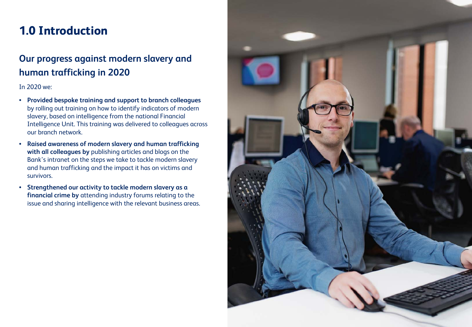# **1.0 Introduction**

# **Our progress against modern slavery and human trafficking in 2020**

### In 2020 we:

- **Provided bespoke training and support to branch colleagues**  by rolling out training on how to identify indicators of modern slavery, based on intelligence from the national Financial Intelligence Unit. This training was delivered to colleagues across our branch network.
- **Raised awareness of modern slavery and human trafficking with all colleagues by** publishing articles and blogs on the Bank's intranet on the steps we take to tackle modern slavery and human trafficking and the impact it has on victims and survivors.
- **Strengthened our activity to tackle modern slavery as a financial crime by** attending industry forums relating to the issue and sharing intelligence with the relevant business areas.

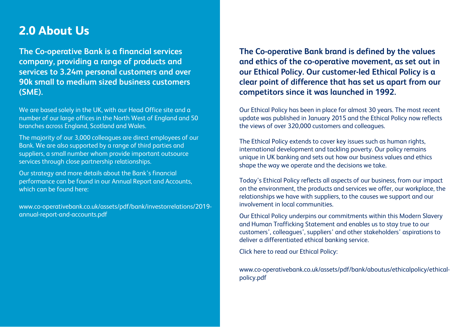## **2.0 About Us**

**The Co-operative Bank is a financial services company, providing a range of products and services to 3.24m personal customers and over 90k small to medium sized business customers (SME).** 

We are based solely in the UK, with our Head Office site and a number of our large offices in the North West of England and 50 branches across England, Scotland and Wales.

The majority of our 3,000 colleagues are direct employees of our Bank. We are also supported by a range of third parties and suppliers, a small number whom provide important outsource services through close partnership relationships.

Our strategy and more details about the Bank's financial performance can be found in our Annual Report and Accounts, which can be found here:

www.co-operativebank.co.uk/assets/pdf/bank/investorrelations/2019 annual-report-and-accounts.pdf

**The Co-operative Bank brand is defined by the values and ethics of the co-operative movement, as set out in our Ethical Policy. Our customer-led Ethical Policy is a clear point of difference that has set us apart from our competitors since it was launched in 1992.** 

Our Ethical Policy has been in place for almost 30 years. The most recent update was published in January 2015 and the Ethical Policy now reflects the views of over 320,000 customers and colleagues.

The Ethical Policy extends to cover key issues such as human rights, international development and tackling poverty. Our policy remains unique in UK banking and sets out how our business values and ethics shape the way we operate and the decisions we take.

Today's Ethical Policy reflects all aspects of our business, from our impact on the environment, the products and services we offer, our workplace, the relationships we have with suppliers, to the causes we support and our involvement in local communities.

Our Ethical Policy underpins our commitments within this Modern Slavery and Human Trafficking Statement and enables us to stay true to our customers', colleagues', suppliers' and other stakeholders' aspirations to deliver a differentiated ethical banking service.

Click here to read our Ethical Policy:

www.co-operativebank.co.uk/assets/pdf/bank/aboutus/ethicalpolicy/ethicalpolicy.pdf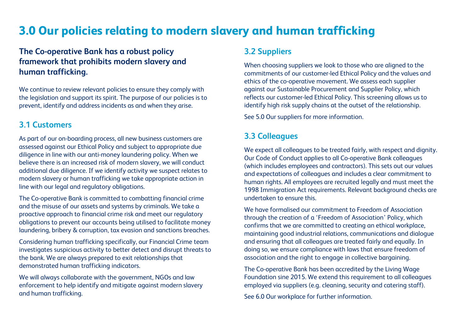# **3.0 Our policies relating to modern slavery and human trafficking**

### **The Co-operative Bank has a robust policy framework that prohibits modern slavery and human trafficking.**

We continue to review relevant policies to ensure they comply with the legislation and support its spirit. The purpose of our policies is to prevent, identify and address incidents as and when they arise.

### **3.1 Customers**

As part of our on-boarding process, all new business customers are assessed against our Ethical Policy and subject to appropriate due diligence in line with our anti-money laundering policy. When we believe there is an increased risk of modern slavery, we will conduct additional due diligence. If we identify activity we suspect relates to modern slavery or human trafficking we take appropriate action in line with our legal and regulatory obligations.

The Co-operative Bank is committed to combatting financial crime and the misuse of our assets and systems by criminals. We take a proactive approach to financial crime risk and meet our regulatory obligations to prevent our accounts being utilised to facilitate money laundering, bribery & corruption, tax evasion and sanctions breaches.

Considering human trafficking specifically, our Financial Crime team investigates suspicious activity to better detect and disrupt threats to the bank. We are always prepared to exit relationships that demonstrated human trafficking indicators.

We will always collaborate with the government, NGOs and law enforcement to help identify and mitigate against modern slavery and human trafficking.

### **3.2 Suppliers**

When choosing suppliers we look to those who are aligned to the commitments of our customer-led Ethical Policy and the values and ethics of the co-operative movement. We assess each supplier against our Sustainable Procurement and Supplier Policy, which reflects our customer-led Ethical Policy. This screening allows us to identify high risk supply chains at the outset of the relationship.

See 5.0 Our suppliers for more information.

### **3.3 Colleagues**

We expect all colleagues to be treated fairly, with respect and dignity. Our Code of Conduct applies to all Co-operative Bank colleagues (which includes employees and contractors). This sets out our values and expectations of colleagues and includes a clear commitment to human rights. All employees are recruited legally and must meet the 1998 Immigration Act requirements. Relevant background checks are undertaken to ensure this.

We have formalised our commitment to Freedom of Association through the creation of a 'Freedom of Association' Policy, which confirms that we are committed to creating an ethical workplace, maintaining good industrial relations, communications and dialogue and ensuring that all colleagues are treated fairly and equally. In doing so, we ensure compliance with laws that ensure freedom of association and the right to engage in collective bargaining.

The Co-operative Bank has been accredited by the Living Wage Foundation sine 2015. We extend this requirement to all colleagues employed via suppliers (e.g. cleaning, security and catering staff).

See 6.0 Our workplace for further information.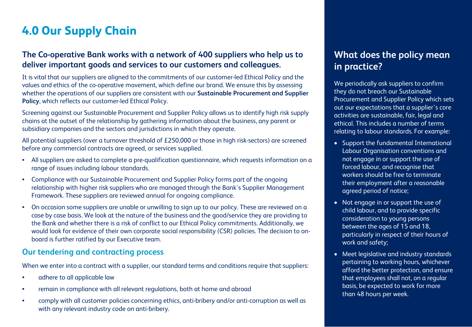# **4.0 Our Supply Chain**

### **The Co-operative Bank works with a network of 400 suppliers who help us to deliver important goods and services to our customers and colleagues.**

It is vital that our suppliers are aligned to the commitments of our customer-led Ethical Policy and the values and ethics of the co-operative movement, which define our brand. We ensure this by assessing whether the operations of our suppliers are consistent with our **Sustainable Procurement and Supplier Policy**, which reflects our customer-led Ethical Policy.

Screening against our Sustainable Procurement and Supplier Policy allows us to identify high risk supply chains at the outset of the relationship by gathering information about the business, any parent or subsidiary companies and the sectors and jurisdictions in which they operate.

All potential suppliers (over a turnover threshold of £250,000 or those in high risk-sectors) are screened before any commercial contracts are agreed, or services supplied.

- All suppliers are asked to complete a pre-qualification questionnaire, which requests information on a range of issues including labour standards.
- Compliance with our Sustainable Procurement and Supplier Policy forms part of the ongoing relationship with higher risk suppliers who are managed through the Bank's Supplier Management Framework. These suppliers are reviewed annual for ongoing compliance.
- On occasion some suppliers are unable or unwilling to sign up to our policy. These are reviewed on a case by case basis. We look at the nature of the business and the good/service they are providing to the Bank and whether there is a risk of conflict to our Ethical Policy commitments. Additionally, we would look for evidence of their own corporate social responsibility (CSR) policies. The decision to onboard is further ratified by our Executive team.

### **Our tendering and contracting process**

When we enter into a contract with a supplier, our standard terms and conditions require that suppliers:

- adhere to all applicable law
- remain in compliance with all relevant regulations, both at home and abroad
- comply with all customer policies concerning ethics, anti-bribery and/or anti-corruption as well as with any relevant industry code on anti-bribery.

### **What does the policy mean in practice?**

We periodically ask suppliers to confirm they do not breach our Sustainable Procurement and Supplier Policy which sets out our expectations that a supplier's core activities are sustainable, fair, legal and ethical. This includes a number of terms relating to labour standards. For example:

- Support the fundamental International Labour Organisation conventions and not engage in or support the use of forced labour, and recognise that workers should be free to terminate their employment after a reasonable agreed period of notice;
- Not engage in or support the use of child labour, and to provide specific consideration to young persons between the ages of 15 and 18, particularly in respect of their hours of work and safety;
- Meet legislative and industry standards pertaining to working hours, whichever afford the better protection, and ensure that employees shall not, on a regular basis, be expected to work for more than 48 hours per week.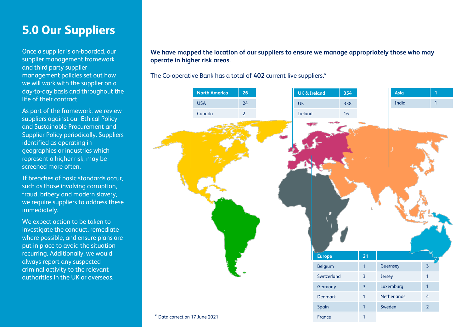# **5.0 Our Suppliers**

Once a supplier is on-boarded, our supplier management framework and third party supplier management policies set out how we will work with the supplier on a day-to-day basis and throughout the life of their contract.

As part of the framework, we review suppliers against our Ethical Policy and Sustainable Procurement and Supplier Policy periodically. Suppliers identified as operating in geographies or industries which represent a higher risk, may be screened more often.

If breaches of basic standards occur, such as those involving corruption, fraud, bribery and modern slavery, we require suppliers to address these immediately.

We expect action to be taken to investigate the conduct, remediate where possible, and ensure plans are put in place to avoid the situation recurring. Additionally, we would always report any suspected criminal activity to the relevant authorities in the UK or overseas.

**We have mapped the location of our suppliers to ensure we manage appropriately those who may operate in higher risk areas.**

The Co-operative Bank has a total of **402** current live suppliers.\*

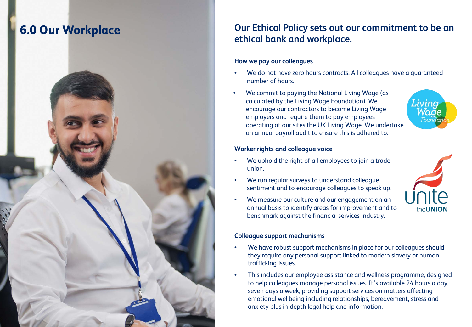

### **6.0 Our Workplace Our Ethical Policy sets out our commitment to be an** <br>**Our Ethical Policy sets out our commitment to be an ethical bank and workplace.**

### **How we pay our colleagues**

- We do not have zero hours contracts. All colleagues have a guaranteed number of hours.
- We commit to paying the National Living Wage (as calculated by the Living Wage Foundation). We encourage our contractors to become Living Wage employers and require them to pay employees operating at our sites the UK Living Wage. We undertake an annual payroll audit to ensure this is adhered to.

### **Worker rights and colleague voice**

- We uphold the right of all employees to join a trade union.
- We run regular surveys to understand colleague sentiment and to encourage colleagues to speak up.
- We measure our culture and our engagement on an annual basis to identify areas for improvement and to benchmark against the financial services industry.

### **Colleague support mechanisms**

- We have robust support mechanisms in place for our colleagues should they require any personal support linked to modern slavery or human trafficking issues.
- This includes our employee assistance and wellness programme, designed to help colleagues manage personal issues. It's available 24 hours a day, seven days a week, providing support services on matters affecting emotional wellbeing including relationships, bereavement, stress and anxiety plus in-depth legal help and information.

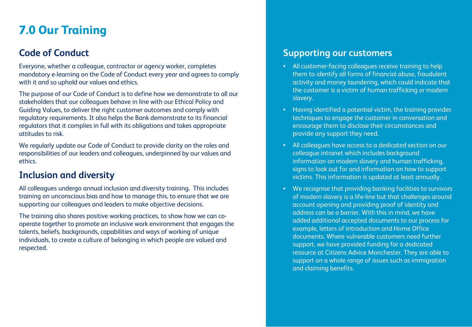# **7.0 Our Training**

### **Code of Conduct**

Everyone, whether a colleague, contractor or agency worker, completes mandatory e-learning on the Code of Conduct every year and agrees to comply with it and so uphold our values and ethics.

The purpose of our Code of Conduct is to define how we demonstrate to all our stakeholders that our colleagues behave in line with our Ethical Policy and Guiding Values, to deliver the right customer outcomes and comply with regulatory requirements. It also helps the Bank demonstrate to its financial regulators that it complies in full with its obligations and takes appropriate attitudes to risk.

We regularly update our Code of Conduct to provide clarity on the roles and responsibilities of our leaders and colleagues, underpinned by our values and ethics.

### **Inclusion and diversity**

All colleagues undergo annual inclusion and diversity training. This includes training on unconscious bias and how to manage this, to ensure that we are supporting our colleagues and leaders to make objective decisions.

The training also shares positive working practices, to show how we can cooperate together to promote an inclusive work environment that engages the talents, beliefs, backgrounds, capabilities and ways of working of unique individuals, to create a culture of belonging in which people are valued and respected.

### **Supporting our customers**

- All customer-facing colleagues receive training to help them to identify all forms of financial abuse, fraudulent activity and money laundering, which could indicate that the customer is a victim of human trafficking or modern slavery.
- Having identified a potential victim, the training provides techniques to engage the customer in conversation and encourage them to disclose their circumstances and provide any support they need.
- All colleagues have access to a dedicated section on our colleague intranet which includes background information on modern slavery and human trafficking, signs to look out for and information on how to support victims. This information is updated at least annually.
- We recognise that providing banking facilities to survivors of modern slavery is a life-line but that challenges around account opening and providing proof of identity and address can be a barrier. With this in mind, we have added additional accepted documents to our process for example, letters of introduction and Home Office documents. Where vulnerable customers need further support, we have provided funding for a dedicated resource at Citizens Advice Manchester. They are able to support on a whole range of issues such as immigration and claiming benefits.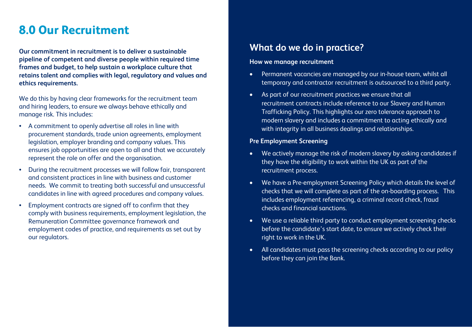# **8.0 Our Recruitment**

**Our commitment in recruitment is to deliver a sustainable pipeline of competent and diverse people within required time frames and budget, to help sustain a workplace culture that retains talent and complies with legal, regulatory and values and ethics requirements.**

We do this by having clear frameworks for the recruitment team and hiring leaders, to ensure we always behave ethically and manage risk. This includes:

- A commitment to openly advertise all roles in line with procurement standards, trade union agreements, employment legislation, employer branding and company values. This ensures job opportunities are open to all and that we accurately represent the role on offer and the organisation.
- During the recruitment processes we will follow fair, transparent and consistent practices in line with business and customer needs. We commit to treating both successful and unsuccessful candidates in line with agreed procedures and company values.
- Employment contracts are signed off to confirm that they comply with business requirements, employment legislation, the Remuneration Committee governance framework and employment codes of practice, and requirements as set out by our regulators.

### **What do we do in practice?**

### **How we manage recruitment**

- Permanent vacancies are managed by our in-house team, whilst all temporary and contractor recruitment is outsourced to a third party.
- As part of our recruitment practices we ensure that all recruitment contracts include reference to our Slavery and Human Trafficking Policy. This highlights our zero tolerance approach to modern slavery and includes a commitment to acting ethically and with integrity in all business dealings and relationships.

### **Pre Employment Screening**

- We actively manage the risk of modern slavery by asking candidates if they have the eligibility to work within the UK as part of the recruitment process.
- We have a Pre-employment Screening Policy which details the level of checks that we will complete as part of the on-boarding process. This includes employment referencing, a criminal record check, fraud checks and financial sanctions.
- We use a reliable third party to conduct employment screening checks before the candidate's start date, to ensure we actively check their right to work in the UK.
- All candidates must pass the screening checks according to our policy before they can join the Bank.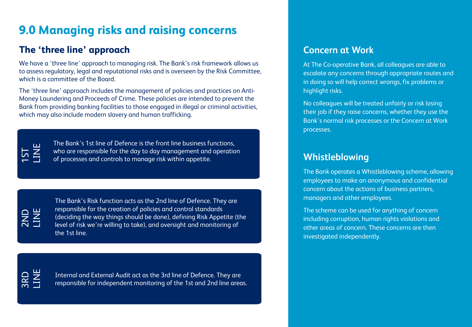# **9.0 Managing risks and raising concerns**

### **The 'three line' approach**

We have a 'three line' approach to managing risk. The Bank's risk framework allows us to assess regulatory, legal and reputational risks and is overseen by the Risk Committee, which is a committee of the Board.

The 'three line' approach includes the management of policies and practices on Anti-Money Laundering and Proceeds of Crime. These policies are intended to prevent the Bank from providing banking facilities to those engaged in illegal or criminal activities, which may also include modern slavery and human trafficking.



The Bank's 1st line of Defence is the front line business functions, who are responsible for the day to day management and operation of processes and controls to manage risk within appetite.

2ND LINE

The Bank's Risk function acts as the 2nd line of Defence. They are responsible for the creation of policies and control standards (deciding the way things should be done), defining Risk Appetite (the level of risk we're willing to take), and oversight and monitoring of the 1st line.

3RD LINE

Internal and External Audit act as the 3rd line of Defence. They are responsible for independent monitoring of the 1st and 2nd line areas.

### **Concern at Work**

At The Co-operative Bank, all colleagues are able to escalate any concerns through appropriate routes and in doing so will help correct wrongs, fix problems or highlight risks.

No colleagues will be treated unfairly or risk losing their job if they raise concerns, whether they use the Bank's normal risk processes or the Concern at Work processes.

### **Whistleblowing**

The Bank operates a Whistleblowing scheme, allowing employees to make an anonymous and confidential concern about the actions of business partners, managers and other employees.

The scheme can be used for anything of concern including corruption, human rights violations and other areas of concern. These concerns are then investigated independently.